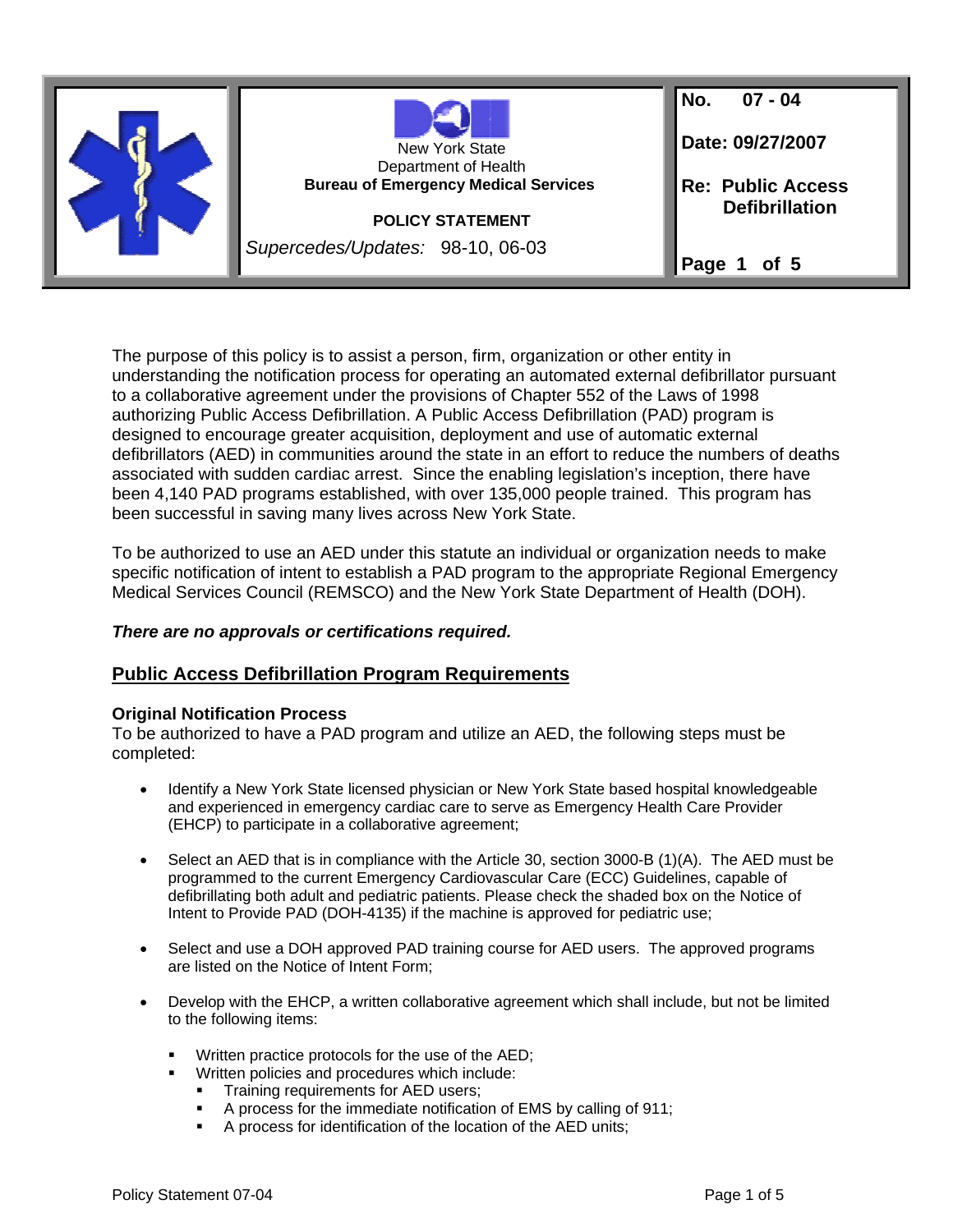

The purpose of this policy is to assist a person, firm, organization or other entity in understanding the notification process for operating an automated external defibrillator pursuant to a collaborative agreement under the provisions of Chapter 552 of the Laws of 1998 authorizing Public Access Defibrillation. A Public Access Defibrillation (PAD) program is designed to encourage greater acquisition, deployment and use of automatic external defibrillators (AED) in communities around the state in an effort to reduce the numbers of deaths associated with sudden cardiac arrest. Since the enabling legislation's inception, there have been 4,140 PAD programs established, with over 135,000 people trained. This program has been successful in saving many lives across New York State.

To be authorized to use an AED under this statute an individual or organization needs to make specific notification of intent to establish a PAD program to the appropriate Regional Emergency Medical Services Council (REMSCO) and the New York State Department of Health (DOH).

### *There are no approvals or certifications required.*

### **Public Access Defibrillation Program Requirements**

### **Original Notification Process**

To be authorized to have a PAD program and utilize an AED, the following steps must be completed:

- Identify a New York State licensed physician or New York State based hospital knowledgeable and experienced in emergency cardiac care to serve as Emergency Health Care Provider (EHCP) to participate in a collaborative agreement;
- Select an AED that is in compliance with the Article 30, section 3000-B (1)(A). The AED must be programmed to the current Emergency Cardiovascular Care (ECC) Guidelines, capable of defibrillating both adult and pediatric patients. Please check the shaded box on the Notice of Intent to Provide PAD (DOH-4135) if the machine is approved for pediatric use;
- Select and use a DOH approved PAD training course for AED users. The approved programs are listed on the Notice of Intent Form;
- Develop with the EHCP, a written collaborative agreement which shall include, but not be limited to the following items:
	- Written practice protocols for the use of the AED;
		- Written policies and procedures which include:
			- Training requirements for AED users;
			- A process for the immediate notification of EMS by calling of 911;
			- A process for identification of the location of the AED units;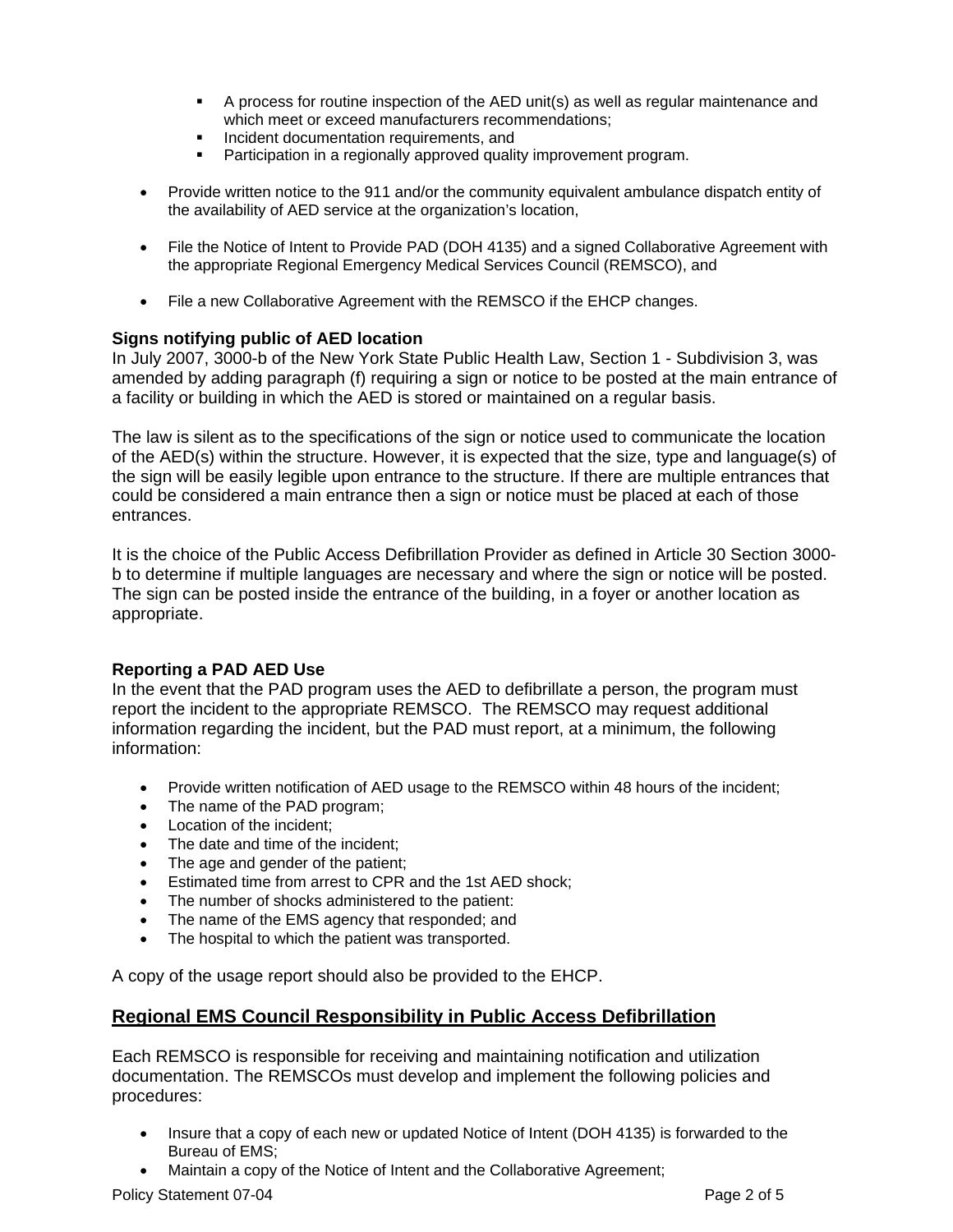- $\blacksquare$  A process for routine inspection of the AED unit(s) as well as regular maintenance and which meet or exceed manufacturers recommendations;
- **Incident documentation requirements, and<br>
Participation in a regionally approved quality**
- Participation in a regionally approved quality improvement program.
- Provide written notice to the 911 and/or the community equivalent ambulance dispatch entity of the availability of AED service at the organization's location,
- File the Notice of Intent to Provide PAD (DOH 4135) and a signed Collaborative Agreement with the appropriate Regional Emergency Medical Services Council (REMSCO), and
- File a new Collaborative Agreement with the REMSCO if the EHCP changes.

### **Signs notifying public of AED location**

In July 2007, 3000-b of the New York State Public Health Law, Section 1 - Subdivision 3, was amended by adding paragraph (f) requiring a sign or notice to be posted at the main entrance of a facility or building in which the AED is stored or maintained on a regular basis.

The law is silent as to the specifications of the sign or notice used to communicate the location of the AED(s) within the structure. However, it is expected that the size, type and language(s) of the sign will be easily legible upon entrance to the structure. If there are multiple entrances that could be considered a main entrance then a sign or notice must be placed at each of those entrances.

It is the choice of the Public Access Defibrillation Provider as defined in Article 30 Section 3000 b to determine if multiple languages are necessary and where the sign or notice will be posted. The sign can be posted inside the entrance of the building, in a foyer or another location as appropriate.

### **Reporting a PAD AED Use**

In the event that the PAD program uses the AED to defibrillate a person, the program must report the incident to the appropriate REMSCO. The REMSCO may request additional information regarding the incident, but the PAD must report, at a minimum, the following information:

- Provide written notification of AED usage to the REMSCO within 48 hours of the incident;
- The name of the PAD program;
- Location of the incident;
- The date and time of the incident;
- The age and gender of the patient;
- Estimated time from arrest to CPR and the 1st AED shock;
- The number of shocks administered to the patient:
- The name of the EMS agency that responded; and
- The hospital to which the patient was transported.

A copy of the usage report should also be provided to the EHCP.

### **Regional EMS Council Responsibility in Public Access Defibrillation**

Each REMSCO is responsible for receiving and maintaining notification and utilization documentation. The REMSCOs must develop and implement the following policies and procedures:

- Insure that a copy of each new or updated Notice of Intent (DOH 4135) is forwarded to the Bureau of EMS;
- Maintain a copy of the Notice of Intent and the Collaborative Agreement;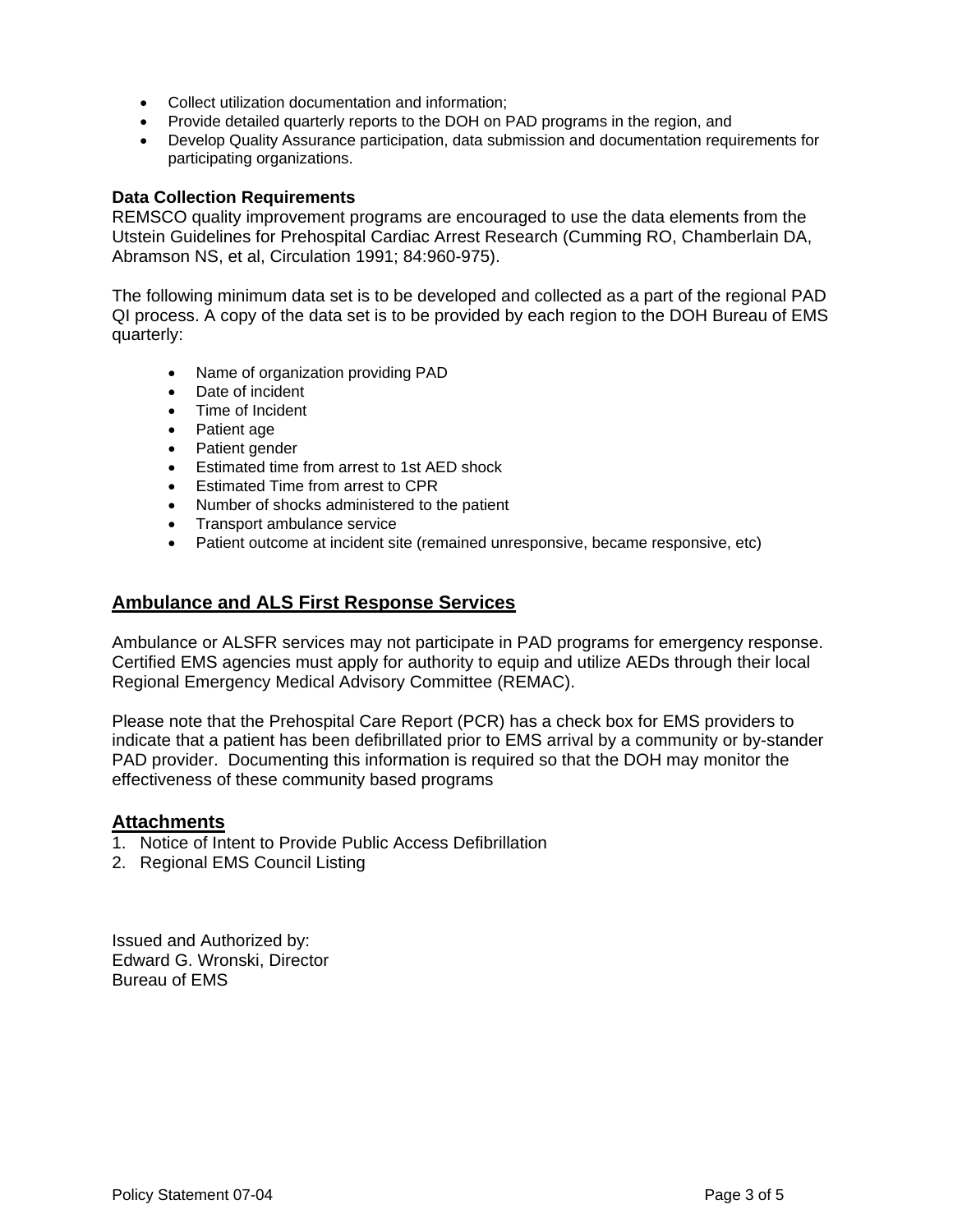- Collect utilization documentation and information;
- Provide detailed quarterly reports to the DOH on PAD programs in the region, and
- Develop Quality Assurance participation, data submission and documentation requirements for participating organizations.

### **Data Collection Requirements**

REMSCO quality improvement programs are encouraged to use the data elements from the Utstein Guidelines for Prehospital Cardiac Arrest Research (Cumming RO, Chamberlain DA, Abramson NS, et al, Circulation 1991; 84:960-975).

The following minimum data set is to be developed and collected as a part of the regional PAD QI process. A copy of the data set is to be provided by each region to the DOH Bureau of EMS quarterly:

- Name of organization providing PAD
- Date of incident
- Time of Incident
- Patient age
- Patient gender
- Estimated time from arrest to 1st AED shock
- Estimated Time from arrest to CPR
- Number of shocks administered to the patient
- Transport ambulance service
- Patient outcome at incident site (remained unresponsive, became responsive, etc)

### **Ambulance and ALS First Response Services**

Ambulance or ALSFR services may not participate in PAD programs for emergency response. Certified EMS agencies must apply for authority to equip and utilize AEDs through their local Regional Emergency Medical Advisory Committee (REMAC).

Please note that the Prehospital Care Report (PCR) has a check box for EMS providers to indicate that a patient has been defibrillated prior to EMS arrival by a community or by-stander PAD provider. Documenting this information is required so that the DOH may monitor the effectiveness of these community based programs

### **Attachments**

- 1. Notice of Intent to Provide Public Access Defibrillation
- 2. Regional EMS Council Listing

Issued and Authorized by: Edward G. Wronski, Director Bureau of EMS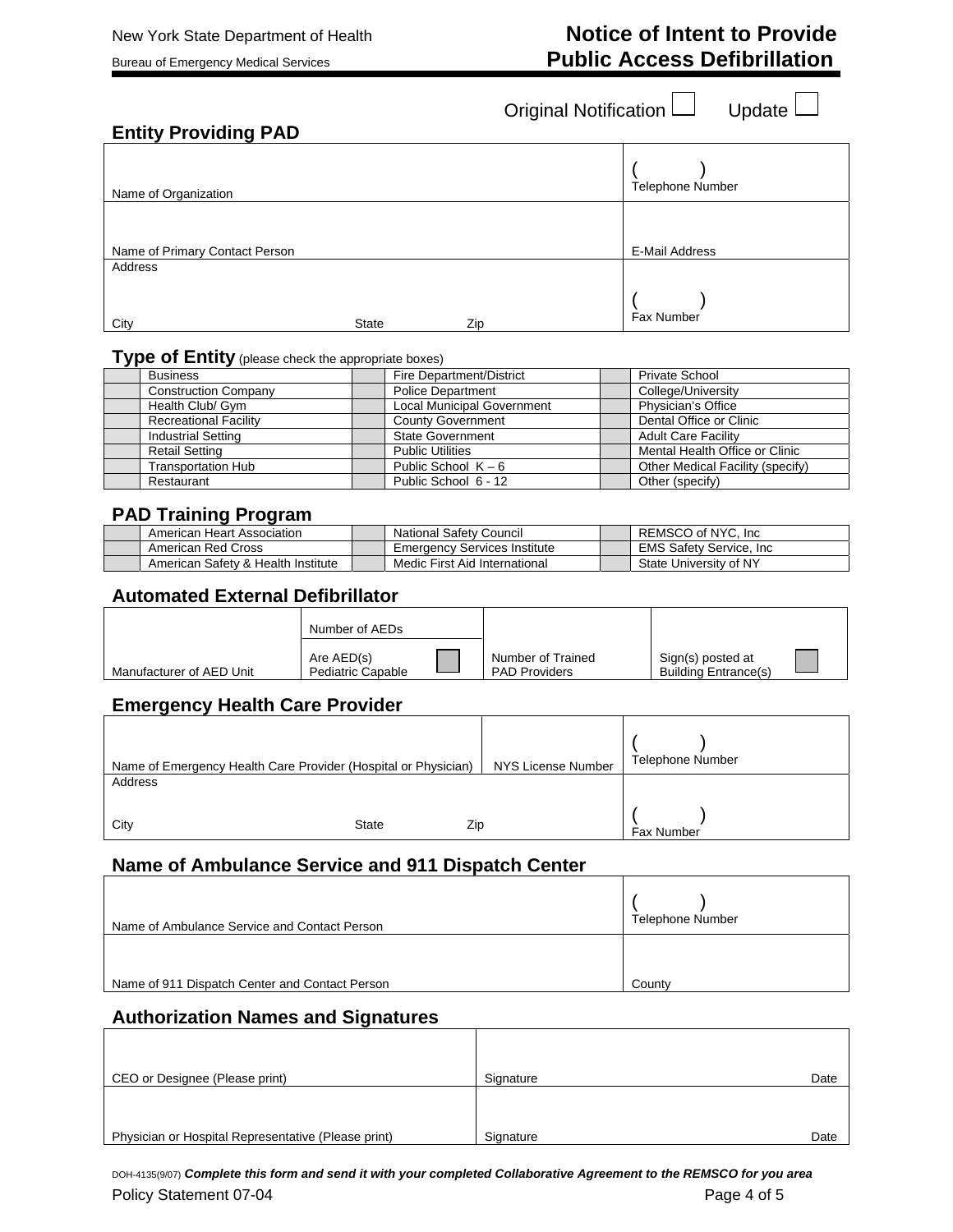# New York State Department of Health **Notice of Intent to Provide** Bureau of Emergency Medical Services **Public Access Defibrillation**

Original Notification U Update

Т

٦

## **Entity Providing PAD**

| Name of Organization           |              |     | Telephone Number |
|--------------------------------|--------------|-----|------------------|
|                                |              |     |                  |
| Name of Primary Contact Person |              |     | E-Mail Address   |
| Address                        |              |     |                  |
|                                |              |     | Fax Number       |
| City                           | <b>State</b> | Zip |                  |

### **Type of Entity** (please check the appropriate boxes)

| <b>Business</b>              | Fire Department/District          | Private School                   |
|------------------------------|-----------------------------------|----------------------------------|
| <b>Construction Company</b>  | <b>Police Department</b>          | College/University               |
| Health Club/ Gym             | <b>Local Municipal Government</b> | Physician's Office               |
| <b>Recreational Facility</b> | <b>County Government</b>          | Dental Office or Clinic          |
| <b>Industrial Setting</b>    | <b>State Government</b>           | <b>Adult Care Facility</b>       |
| <b>Retail Setting</b>        | <b>Public Utilities</b>           | Mental Health Office or Clinic   |
| Transportation Hub           | Public School $K - 6$             | Other Medical Facility (specify) |
| Restaurant                   | Public School 6 - 12              | Other (specify)                  |

### **PAD Training Program**

| American Heart Association         | <b>National Safety Council</b>      | REMSCO of NYC. Inc.             |
|------------------------------------|-------------------------------------|---------------------------------|
| American Red Cross                 | <b>Emergency Services Institute</b> | <b>EMS Safety Service, Inc.</b> |
| American Safety & Health Institute | Medic First Aid International       | State University of NY          |

### **Automated External Defibrillator**

|                          | Number of AEDs                         |                                           |                                                  |  |
|--------------------------|----------------------------------------|-------------------------------------------|--------------------------------------------------|--|
| Manufacturer of AED Unit | Are AED(s)<br><b>Pediatric Capable</b> | Number of Trained<br><b>PAD Providers</b> | Sign(s) posted at<br><b>Building Entrance(s)</b> |  |

## **Emergency Health Care Provider**

| Name of Emergency Health Care Provider (Hospital or Physician) |              | NYS License Number | <b>Telephone Number</b> |
|----------------------------------------------------------------|--------------|--------------------|-------------------------|
| Address                                                        |              |                    |                         |
|                                                                |              |                    |                         |
| City                                                           | <b>State</b> | Zip                | Fax Number              |

### **Name of Ambulance Service and 911 Dispatch Center**

| Name of Ambulance Service and Contact Person   | <b>Telephone Number</b> |
|------------------------------------------------|-------------------------|
|                                                |                         |
| Name of 911 Dispatch Center and Contact Person | County                  |

### **Authorization Names and Signatures**

| CEO or Designee (Please print)                      | Signature | Date |
|-----------------------------------------------------|-----------|------|
|                                                     |           |      |
|                                                     |           |      |
| Physician or Hospital Representative (Please print) | Signature | Date |

Policy Statement 07-04 **Page 4 of 5** Page 4 of 5 DOH-4135(9/07) *Complete this form and send it with your completed Collaborative Agreement to the REMSCO for you area*